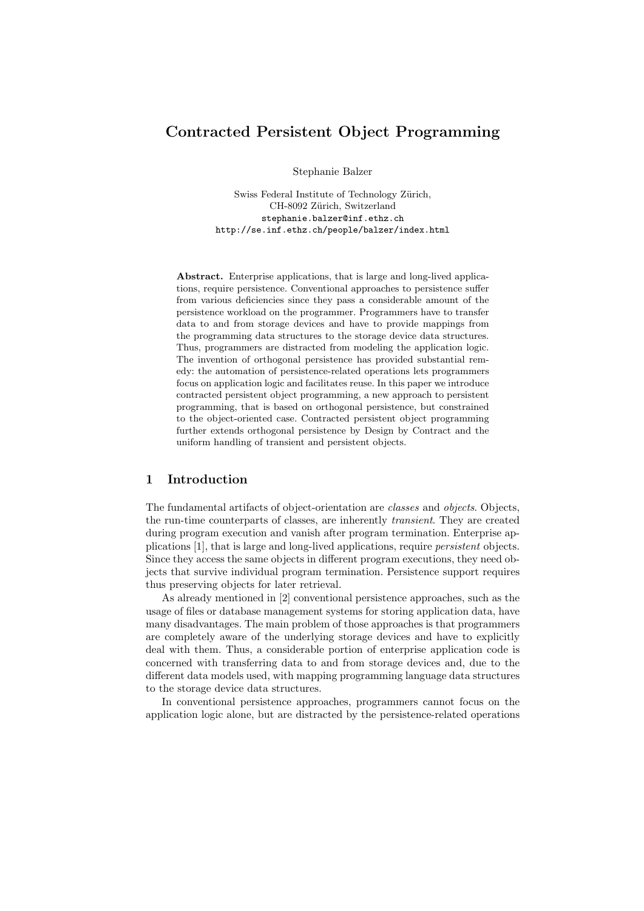# Contracted Persistent Object Programming

Stephanie Balzer

Swiss Federal Institute of Technology Zürich, CH-8092 Zürich, Switzerland stephanie.balzer@inf.ethz.ch http://se.inf.ethz.ch/people/balzer/index.html

Abstract. Enterprise applications, that is large and long-lived applications, require persistence. Conventional approaches to persistence suffer from various deficiencies since they pass a considerable amount of the persistence workload on the programmer. Programmers have to transfer data to and from storage devices and have to provide mappings from the programming data structures to the storage device data structures. Thus, programmers are distracted from modeling the application logic. The invention of orthogonal persistence has provided substantial remedy: the automation of persistence-related operations lets programmers focus on application logic and facilitates reuse. In this paper we introduce contracted persistent object programming, a new approach to persistent programming, that is based on orthogonal persistence, but constrained to the object-oriented case. Contracted persistent object programming further extends orthogonal persistence by Design by Contract and the uniform handling of transient and persistent objects.

### 1 Introduction

The fundamental artifacts of object-orientation are classes and objects. Objects, the run-time counterparts of classes, are inherently transient. They are created during program execution and vanish after program termination. Enterprise applications [1], that is large and long-lived applications, require persistent objects. Since they access the same objects in different program executions, they need objects that survive individual program termination. Persistence support requires thus preserving objects for later retrieval.

As already mentioned in [2] conventional persistence approaches, such as the usage of files or database management systems for storing application data, have many disadvantages. The main problem of those approaches is that programmers are completely aware of the underlying storage devices and have to explicitly deal with them. Thus, a considerable portion of enterprise application code is concerned with transferring data to and from storage devices and, due to the different data models used, with mapping programming language data structures to the storage device data structures.

In conventional persistence approaches, programmers cannot focus on the application logic alone, but are distracted by the persistence-related operations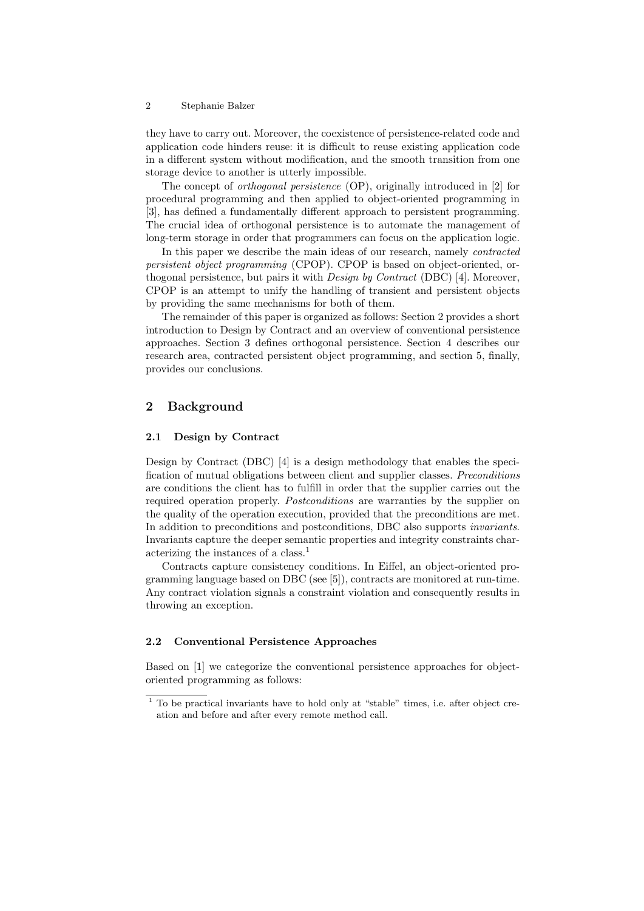#### 2 Stephanie Balzer

they have to carry out. Moreover, the coexistence of persistence-related code and application code hinders reuse: it is difficult to reuse existing application code in a different system without modification, and the smooth transition from one storage device to another is utterly impossible.

The concept of orthogonal persistence (OP), originally introduced in [2] for procedural programming and then applied to object-oriented programming in [3], has defined a fundamentally different approach to persistent programming. The crucial idea of orthogonal persistence is to automate the management of long-term storage in order that programmers can focus on the application logic.

In this paper we describe the main ideas of our research, namely contracted persistent object programming (CPOP). CPOP is based on object-oriented, orthogonal persistence, but pairs it with *Design by Contract* (DBC) [4]. Moreover, CPOP is an attempt to unify the handling of transient and persistent objects by providing the same mechanisms for both of them.

The remainder of this paper is organized as follows: Section 2 provides a short introduction to Design by Contract and an overview of conventional persistence approaches. Section 3 defines orthogonal persistence. Section 4 describes our research area, contracted persistent object programming, and section 5, finally, provides our conclusions.

## 2 Background

### 2.1 Design by Contract

Design by Contract (DBC) [4] is a design methodology that enables the specification of mutual obligations between client and supplier classes. Preconditions are conditions the client has to fulfill in order that the supplier carries out the required operation properly. *Postconditions* are warranties by the supplier on the quality of the operation execution, provided that the preconditions are met. In addition to preconditions and postconditions, DBC also supports invariants. Invariants capture the deeper semantic properties and integrity constraints characterizing the instances of a class.<sup>1</sup>

Contracts capture consistency conditions. In Eiffel, an object-oriented programming language based on DBC (see [5]), contracts are monitored at run-time. Any contract violation signals a constraint violation and consequently results in throwing an exception.

#### 2.2 Conventional Persistence Approaches

Based on [1] we categorize the conventional persistence approaches for objectoriented programming as follows:

<sup>1</sup> To be practical invariants have to hold only at "stable" times, i.e. after object creation and before and after every remote method call.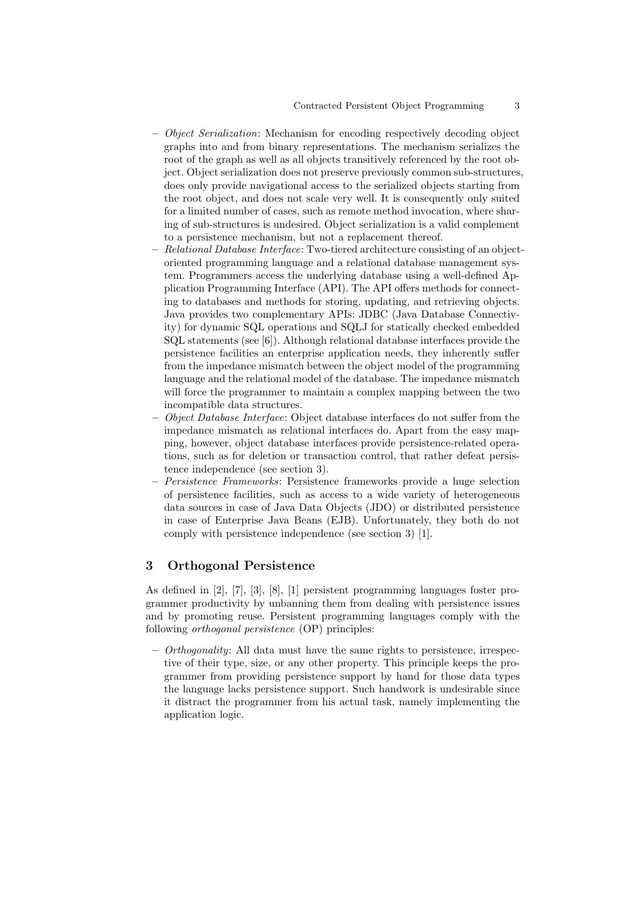- $-$  *Object Serialization:* Mechanism for encoding respectively decoding object graphs into and from binary representations. The mechanism serializes the root of the graph as well as all objects transitively referenced by the root object. Object serialization does not preserve previously common sub-structures, does only provide navigational access to the serialized objects starting from the root object, and does not scale very well. It is consequently only suited for a limited number of cases, such as remote method invocation, where sharing of sub-structures is undesired. Object serialization is a valid complement to a persistence mechanism, but not a replacement thereof.
- Relational Database Interface: Two-tiered architecture consisting of an objectoriented programming language and a relational database management system. Programmers access the underlying database using a well-defined Application Programming Interface (API). The API offers methods for connecting to databases and methods for storing, updating, and retrieving objects. Java provides two complementary APIs: JDBC (Java Database Connectivity) for dynamic SQL operations and SQLJ for statically checked embedded SQL statements (see [6]). Although relational database interfaces provide the persistence facilities an enterprise application needs, they inherently suffer from the impedance mismatch between the object model of the programming language and the relational model of the database. The impedance mismatch will force the programmer to maintain a complex mapping between the two incompatible data structures.
- $-$  *Object Database Interface:* Object database interfaces do not suffer from the impedance mismatch as relational interfaces do. Apart from the easy mapping, however, object database interfaces provide persistence-related operations, such as for deletion or transaction control, that rather defeat persistence independence (see section 3).
- Persistence Frameworks: Persistence frameworks provide a huge selection of persistence facilities, such as access to a wide variety of heterogeneous data sources in case of Java Data Objects (JDO) or distributed persistence in case of Enterprise Java Beans (EJB). Unfortunately, they both do not comply with persistence independence (see section 3) [1].

### 3 Orthogonal Persistence

As defined in [2], [7], [3], [8], [1] persistent programming languages foster programmer productivity by unbanning them from dealing with persistence issues and by promoting reuse. Persistent programming languages comply with the following orthogonal persistence (OP) principles:

 $-$  *Orthogonality:* All data must have the same rights to persistence, irrespective of their type, size, or any other property. This principle keeps the programmer from providing persistence support by hand for those data types the language lacks persistence support. Such handwork is undesirable since it distract the programmer from his actual task, namely implementing the application logic.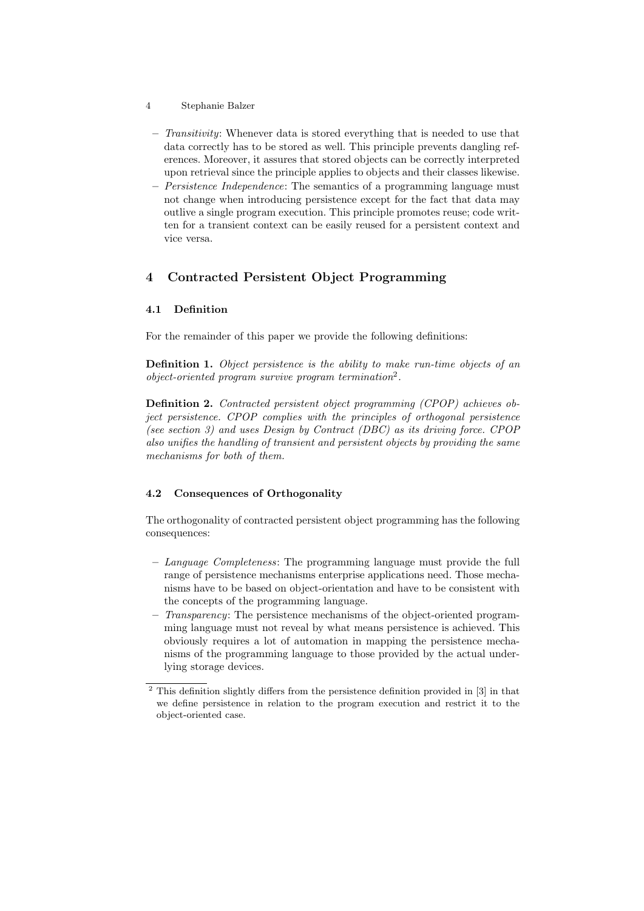- 4 Stephanie Balzer
	- $-$  Transitivity: Whenever data is stored everything that is needed to use that data correctly has to be stored as well. This principle prevents dangling references. Moreover, it assures that stored objects can be correctly interpreted upon retrieval since the principle applies to objects and their classes likewise.
	- $-$  *Persistence Independence:* The semantics of a programming language must not change when introducing persistence except for the fact that data may outlive a single program execution. This principle promotes reuse; code written for a transient context can be easily reused for a persistent context and vice versa.

# 4 Contracted Persistent Object Programming

### 4.1 Definition

For the remainder of this paper we provide the following definitions:

Definition 1. Object persistence is the ability to make run-time objects of an object-oriented program survive program termination<sup>2</sup> .

Definition 2. Contracted persistent object programming (CPOP) achieves object persistence. CPOP complies with the principles of orthogonal persistence (see section 3) and uses Design by Contract (DBC) as its driving force. CPOP also unifies the handling of transient and persistent objects by providing the same mechanisms for both of them.

### 4.2 Consequences of Orthogonality

The orthogonality of contracted persistent object programming has the following consequences:

- Language Completeness: The programming language must provide the full range of persistence mechanisms enterprise applications need. Those mechanisms have to be based on object-orientation and have to be consistent with the concepts of the programming language.
- $-$  Transparency: The persistence mechanisms of the object-oriented programming language must not reveal by what means persistence is achieved. This obviously requires a lot of automation in mapping the persistence mechanisms of the programming language to those provided by the actual underlying storage devices.

 $\frac{2}{1}$  This definition slightly differs from the persistence definition provided in [3] in that we define persistence in relation to the program execution and restrict it to the object-oriented case.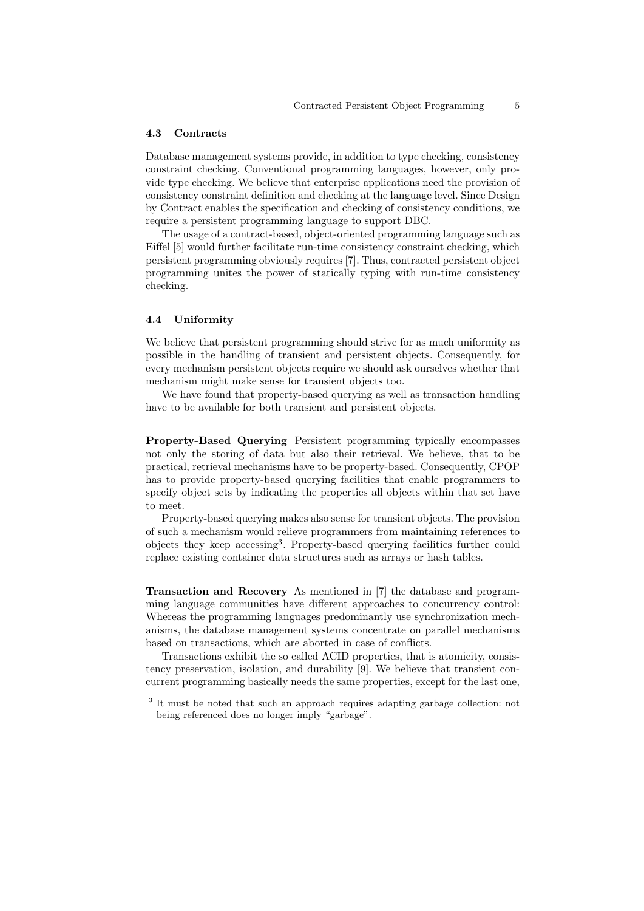#### 4.3 Contracts

Database management systems provide, in addition to type checking, consistency constraint checking. Conventional programming languages, however, only provide type checking. We believe that enterprise applications need the provision of consistency constraint definition and checking at the language level. Since Design by Contract enables the specification and checking of consistency conditions, we require a persistent programming language to support DBC.

The usage of a contract-based, object-oriented programming language such as Eiffel [5] would further facilitate run-time consistency constraint checking, which persistent programming obviously requires [7]. Thus, contracted persistent object programming unites the power of statically typing with run-time consistency checking.

#### 4.4 Uniformity

We believe that persistent programming should strive for as much uniformity as possible in the handling of transient and persistent objects. Consequently, for every mechanism persistent objects require we should ask ourselves whether that mechanism might make sense for transient objects too.

We have found that property-based querying as well as transaction handling have to be available for both transient and persistent objects.

Property-Based Querying Persistent programming typically encompasses not only the storing of data but also their retrieval. We believe, that to be practical, retrieval mechanisms have to be property-based. Consequently, CPOP has to provide property-based querying facilities that enable programmers to specify object sets by indicating the properties all objects within that set have to meet.

Property-based querying makes also sense for transient objects. The provision of such a mechanism would relieve programmers from maintaining references to objects they keep accessing<sup>3</sup> . Property-based querying facilities further could replace existing container data structures such as arrays or hash tables.

Transaction and Recovery As mentioned in [7] the database and programming language communities have different approaches to concurrency control: Whereas the programming languages predominantly use synchronization mechanisms, the database management systems concentrate on parallel mechanisms based on transactions, which are aborted in case of conflicts.

Transactions exhibit the so called ACID properties, that is atomicity, consistency preservation, isolation, and durability [9]. We believe that transient concurrent programming basically needs the same properties, except for the last one,

<sup>&</sup>lt;sup>3</sup> It must be noted that such an approach requires adapting garbage collection: not being referenced does no longer imply "garbage".